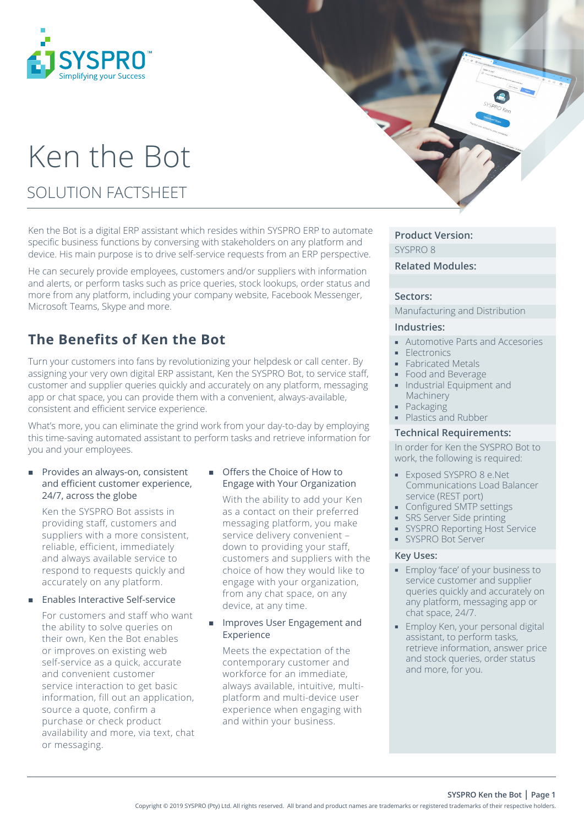

# Ken the Bot

SOLUTION FACTSHEET

Ken the Bot is a digital ERP assistant which resides within SYSPRO ERP to automate specific business functions by conversing with stakeholders on any platform and device. His main purpose is to drive self-service requests from an ERP perspective.

He can securely provide employees, customers and/or suppliers with information and alerts, or perform tasks such as price queries, stock lookups, order status and more from any platform, including your company website, Facebook Messenger, Microsoft Teams, Skype and more.

# **The Benefits of Ken the Bot**

Turn your customers into fans by revolutionizing your helpdesk or call center. By assigning your very own digital ERP assistant, Ken the SYSPRO Bot, to service staff, customer and supplier queries quickly and accurately on any platform, messaging app or chat space, you can provide them with a convenient, always-available, consistent and efficient service experience.

What's more, you can eliminate the grind work from your day-to-day by employing this time-saving automated assistant to perform tasks and retrieve information for you and your employees.

#### Provides an always-on, consistent and efficient customer experience, 24/7, across the globe

Ken the SYSPRO Bot assists in providing staff, customers and suppliers with a more consistent, reliable, efficient, immediately and always available service to respond to requests quickly and accurately on any platform.

## Enables Interactive Self-service

For customers and staff who want the ability to solve queries on their own, Ken the Bot enables or improves on existing web self-service as a quick, accurate and convenient customer service interaction to get basic information, fill out an application, source a quote, confirm a purchase or check product availability and more, via text, chat or messaging.

# Offers the Choice of How to Engage with Your Organization

With the ability to add your Ken as a contact on their preferred messaging platform, you make service delivery convenient – down to providing your staff, customers and suppliers with the choice of how they would like to engage with your organization, from any chat space, on any device, at any time.

#### Improves User Engagement and Experience

Meets the expectation of the contemporary customer and workforce for an immediate, always available, intuitive, multiplatform and multi-device user experience when engaging with and within your business.

# **Product Version:**

SYSPRO 8

# **Related Modules:**

#### **Sectors:**

Manufacturing and Distribution

# **Industries:**

- Automotive Parts and Accesories
- Electronics
- **Fabricated Metals**
- **Food and Beverage**
- **Industrial Equipment and** Machinery
- Packaging
- Plastics and Rubber

#### **Technical Requirements:**

In order for Ken the SYSPRO Bot to work, the following is required:

- Exposed SYSPRO 8 e.Net Communications Load Balancer service (REST port)
- **Configured SMTP settings**
- **SRS** Server Side printing
- **SYSPRO Reporting Host Service**
- SYSPRO Bot Server

## **Key Uses:**

- **Employ 'face' of your business to** service customer and supplier queries quickly and accurately on any platform, messaging app or chat space, 24/7.
- **Employ Ken, your personal digital** assistant, to perform tasks, retrieve information, answer price and stock queries, order status and more, for you.